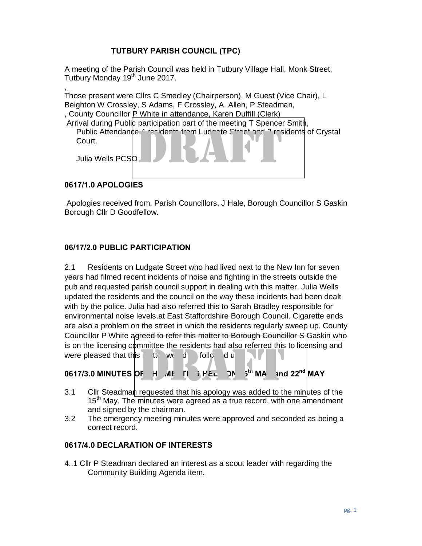## **TUTBURY PARISH COUNCIL (TPC)**

A meeting of the Parish Council was held in Tutbury Village Hall, Monk Street, Tutbury Monday 19<sup>th</sup> June 2017.

, Those present were Cllrs C Smedley (Chairperson), M Guest (Vice Chair), L Beighton W Crossley, S Adams, F Crossley, A. Allen, P Steadman, , County Councillor P White in attendance, Karen Duffill (Clerk) Arrival during Public participation part of the meeting T Spencer Smith, Public Attendance 4 residents from Ludsste Street and 3 residents of Crystal<br>Court.<br>Julia Wells PCSO Court. Julia Wells PCSO

### **0617/1.0 APOLOGIES**

Apologies received from, Parish Councillors, J Hale, Borough Councillor S Gaskin Borough Cllr D Goodfellow.

### **06/17/2.0 PUBLIC PARTICIPATION**

2.1 Residents on Ludgate Street who had lived next to the New Inn for seven years had filmed recent incidents of noise and fighting in the streets outside the pub and requested parish council support in dealing with this matter. Julia Wells updated the residents and the council on the way these incidents had been dealt with by the police. Julia had also referred this to Sarah Bradley responsible for environmental noise levels.at East Staffordshire Borough Council. Cigarette ends are also a problem on the street in which the residents regularly sweep up. County Councillor P White agreed to refer this matter to Borough Councillor S Gaskin who is on the licensing committee the residents had also referred this to licensing and were pleased that this in the would be followed u Solid and the hostiding committee the residents had discreted this to heliting and<br>
0617/3.0 MINUTES OF  $-1$  ME IT  $\frac{1}{2}$  FEL  $\frac{1}{2}$  MA and 22<sup>nd</sup> MAY<br>
3.1 Cllr Steadman requested that his apology was added to the m

# $0617/3.0$  MINUTES OF  $-1$   $\overline{M}$   $\overline{H}$  if  $\overline{H}$   $\overline{H}$   $\overline{H}$   $\overline{H}$   $\overline{H}$   $\overline{H}$   $\overline{H}$   $\overline{H}$   $\overline{H}$   $\overline{H}$   $\overline{H}$   $\overline{H}$   $\overline{H}$   $\overline{H}$   $\overline{H}$   $\overline{H}$   $\overline{H}$   $\overline{H}$   $\overline{H}$   $\$

- 15<sup>th</sup> May. The minutes were agreed as a true record, with one amendment and signed by the chairman.
- 3.2 The emergency meeting minutes were approved and seconded as being a correct record.

#### **0617/4.0 DECLARATION OF INTERESTS**

4..1 Cllr P Steadman declared an interest as a scout leader with regarding the Community Building Agenda item.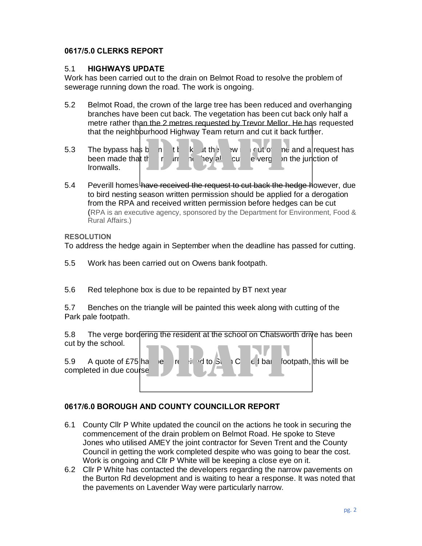### **0617/5.0 CLERKS REPORT**

#### 5.1 **HIGHWAYS UPDATE**

Work has been carried out to the drain on Belmot Road to resolve the problem of sewerage running down the road. The work is ongoing.

- 5.2 Belmot Road, the crown of the large tree has been reduced and overhanging branches have been cut back. The vegetation has been cut back only half a metre rather than the 2 metres requested by Trevor Mellor. He has requested that the neighbourhood Highway Team return and cut it back further.
- 5.3 The bypass has b n the k the swill cut of the and a request has been made that the return and they also cut the verget on the junction of Ironwalls. b a the the sweet of the state of the state of the state of the state of the state of the state of the state of the state of the state of the state of the state of the state of the state of the state of the state of the st
- 5.4 Peverill homes have received the request to cut back the hedge however, due to bird nesting season written permission should be applied for a derogation from the RPA and received written permission before hedges can be cut (RPA is an executive agency, sponsored by the Department for Environment, Food & Rural Affairs.)

#### **RESOLUTION**

To address the hedge again in September when the deadline has passed for cutting.

- 5.5 Work has been carried out on Owens bank footpath.
- 5.6 Red telephone box is due to be repainted by BT next year

5.7 Benches on the triangle will be painted this week along with cutting of the Park pale footpath.

5.8 The verge bordering the resident at the school on Chatsworth drive has been cut by the school.



## **0617/6.0 BOROUGH AND COUNTY COUNCILLOR REPORT**

- 6.1 County Cllr P White updated the council on the actions he took in securing the commencement of the drain problem on Belmot Road. He spoke to Steve Jones who utilised AMEY the joint contractor for Seven Trent and the County Council in getting the work completed despite who was going to bear the cost. Work is ongoing and Cllr P White will be keeping a close eye on it.
- 6.2 Cllr P White has contacted the developers regarding the narrow pavements on the Burton Rd development and is waiting to hear a response. It was noted that the pavements on Lavender Way were particularly narrow.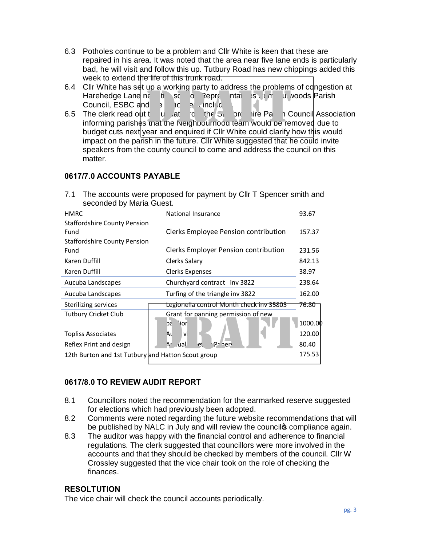- 6.3 Potholes continue to be a problem and Cllr White is keen that these are repaired in his area. It was noted that the area near five lane ends is particularly bad, he will visit and follow this up. Tutbury Road has new chippings added this week to extend the life of this trunk road.
- 6.4 Cllr White has set up a working party to address the problems of congestion at Harehedge Lane near the school. Representatives from Outwoods Parish Council, ESBC and  $\overline{z}$  included.
- 6.5 The clerk read out the update from the Statistic from the Parish Council Association informing parishes that the Neighbourhood team would be removed due to budget cuts next year and enquired if Cllr White could clarify how this would impact on the parish in the future. Cllr White suggested that he could invite speakers from the county council to come and address the council on this matter.  $\begin{array}{ccc} \text{d} & \text{d} & \text{d} & \text{d} & \text{d} & \text{d} & \text{d} & \text{d} & \text{d} & \text{d} & \text{d} & \text{d} & \text{d} & \text{d} & \text{d} & \text{d} & \text{d} & \text{d} & \text{e} & \text{f} & \text{f} & \text{f} & \text{f} & \text{f} & \text{f} & \text{f} & \text{f} & \text{f} & \text{f} & \text{f} & \text{f} & \text{f} & \text{f} & \text{f} & \text{f} & \text{$

## **0617/7.0 ACCOUNTS PAYABLE**

7.1 The accounts were proposed for payment by Cllr T Spencer smith and seconded by Maria Guest.

| <b>HMRC</b>                                        | National Insurance                       | 93.67   |  |  |  |  |  |
|----------------------------------------------------|------------------------------------------|---------|--|--|--|--|--|
| <b>Staffordshire County Pension</b>                |                                          |         |  |  |  |  |  |
| Fund                                               | Clerks Employee Pension contribution     | 157.37  |  |  |  |  |  |
| <b>Staffordshire County Pension</b>                |                                          |         |  |  |  |  |  |
| Fund                                               | Clerks Employer Pension contribution     | 231.56  |  |  |  |  |  |
| Karen Duffill                                      | Clerks Salary                            | 842.13  |  |  |  |  |  |
| Karen Duffill                                      | Clerks Expenses                          | 38.97   |  |  |  |  |  |
| Aucuba Landscapes                                  | Churchyard contract inv 3822             | 238.64  |  |  |  |  |  |
| Aucuba Landscapes                                  | Turfing of the triangle inv 3822         | 162.00  |  |  |  |  |  |
| Sterilizing services                               | Legionella control Month check inv 35805 | 76.80   |  |  |  |  |  |
| <b>Tutbury Cricket Club</b>                        | Grant for panning permission of new      |         |  |  |  |  |  |
|                                                    | \ior<br>GC                               | 1000.00 |  |  |  |  |  |
| <b>Topliss Associates</b>                          | Αι<br><b>VI</b>                          | 120.00  |  |  |  |  |  |
| Reflex Print and design                            | $Pz$ here<br>.ual<br>A٢<br>et            | 80.40   |  |  |  |  |  |
| 12th Burton and 1st Tutbury and Hatton Scout group |                                          |         |  |  |  |  |  |
|                                                    |                                          |         |  |  |  |  |  |

## **0617/8.0 TO REVIEW AUDIT REPORT**

- 8.1 Councillors noted the recommendation for the earmarked reserve suggested for elections which had previously been adopted.
- 8.2 Comments were noted regarding the future website recommendations that will be published by NALC in July and will review the council to compliance again.
- 8.3 The auditor was happy with the financial control and adherence to financial regulations. The clerk suggested that councillors were more involved in the accounts and that they should be checked by members of the council. Cllr W Crossley suggested that the vice chair took on the role of checking the finances.

#### **RESOLTUTION**

The vice chair will check the council accounts periodically.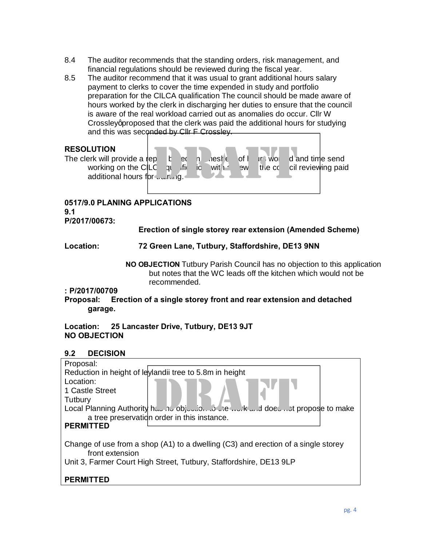- 8.4 The auditor recommends that the standing orders, risk management, and financial regulations should be reviewed during the fiscal year.
- 8.5 The auditor recommend that it was usual to grant additional hours salary payment to clerks to cover the time expended in study and portfolio preparation for the CILCA qualification The council should be made aware of hours worked by the clerk in discharging her duties to ensure that the council is aware of the real workload carried out as anomalies do occur. Cllr W Crossley aproposed that the clerk was paid the additional hours for studying and this was seconded by Cllr F Crossley.

### **RESOLUTION**

The clerk will provide a report based on the send of hours working on the CILC quartity is a very working and time send working on the CILC quality is a vitter and the council reviewing paid additional hours for wurling. p t et n neste of l un word a<br>C qui fit io with a sweethed oil

#### **0517/9.0 PLANING APPLICATIONS 9.1 P/2017/00673:**

**Erection of single storey rear extension (Amended Scheme)**

**Location: 72 Green Lane, Tutbury, Staffordshire, DE13 9NN**

**NO OBJECTION** Tutbury Parish Council has no objection to this application but notes that the WC leads off the kitchen which would not be recommended.

#### **: P/2017/00709**

**Proposal: Erection of a single storey front and rear extension and detached garage.**

**Location: 25 Lancaster Drive, Tutbury, DE13 9JT NO OBJECTION**

## **9.2 DECISION**

| Proposal:                                                                                            |  |  |  |  |  |  |  |
|------------------------------------------------------------------------------------------------------|--|--|--|--|--|--|--|
| Reduction in height of leylandii tree to 5.8m in height                                              |  |  |  |  |  |  |  |
| Location:                                                                                            |  |  |  |  |  |  |  |
| 1 Castle Street                                                                                      |  |  |  |  |  |  |  |
| Tutbury                                                                                              |  |  |  |  |  |  |  |
| Local Planning Authority http://www.ib.com/individualdoedthpropose to make                           |  |  |  |  |  |  |  |
| a tree preservation order in this instance.                                                          |  |  |  |  |  |  |  |
| <b>PERMITTED</b>                                                                                     |  |  |  |  |  |  |  |
|                                                                                                      |  |  |  |  |  |  |  |
| Change of use from a shop (A1) to a dwelling (C3) and erection of a single storey<br>front extension |  |  |  |  |  |  |  |
| Unit 3, Farmer Court High Street, Tutbury, Staffordshire, DE13 9LP                                   |  |  |  |  |  |  |  |
|                                                                                                      |  |  |  |  |  |  |  |
| <b>PERMIT</b>                                                                                        |  |  |  |  |  |  |  |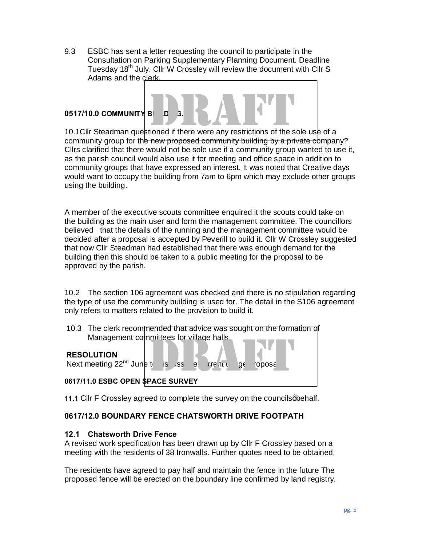9.3 ESBC has sent a letter requesting the council to participate in the Consultation on Parking Supplementary Planning Document. Deadline Tuesday 18<sup>th</sup> July. Cllr W Crossley will review the document with Cllr S Adams and the clerk.

#### **0517/10.0 COMMUNITY BILLE**

0517/10.0 COMMUNITY BI D 3.<br>10.1Cllr Steadman questioned if there were any restrictions of the sole use of a community group for the new proposed community building by a private company? Cllrs clarified that there would not be sole use if a community group wanted to use it, as the parish council would also use it for meeting and office space in addition to community groups that have expressed an interest. It was noted that Creative days would want to occupy the building from 7am to 6pm which may exclude other groups using the building.

A member of the executive scouts committee enquired it the scouts could take on the building as the main user and form the management committee. The councillors believed that the details of the running and the management committee would be decided after a proposal is accepted by Peverill to build it. Cllr W Crossley suggested that now Cllr Steadman had established that there was enough demand for the building then this should be taken to a public meeting for the proposal to be approved by the parish.

10.2 The section 106 agreement was checked and there is no stipulation regarding the type of use the community building is used for. The detail in the S106 agreement only refers to matters related to the provision to build it.

10.3 The clerk recommended that advice was sought on the formation of Management committees for village halls. Thinees for village halls.<br>
tre is ss a little ge oposale oposale oposale and the survey

#### **RESOLUTION**

Next meeting  $22^{nd}$  June to discussed the full discussed propose

**0617/11.0 ESBC OPEN SPACE SURVEY**

**11.1** Cllr F Crossley agreed to complete the survey on the councils abehalf.

#### **0617/12.0 BOUNDARY FENCE CHATSWORTH DRIVE FOOTPATH**

#### **12.1 Chatsworth Drive Fence**

A revised work specification has been drawn up by Cllr F Crossley based on a meeting with the residents of 38 Ironwalls. Further quotes need to be obtained.

The residents have agreed to pay half and maintain the fence in the future The proposed fence will be erected on the boundary line confirmed by land registry.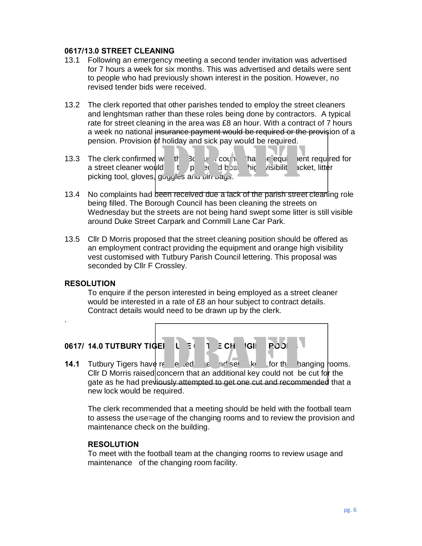#### **0617/13.0 STREET CLEANING**

- 13.1 Following an emergency meeting a second tender invitation was advertised for 7 hours a week for six months. This was advertised and details were sent to people who had previously shown interest in the position. However, no revised tender bids were received.
- 13.2 The clerk reported that other parishes tended to employ the street cleaners and lenghtsman rather than these roles being done by contractors. A typical rate for street cleaning in the area was £8 an hour. With a contract of 7 hours a week no national insurance payment would be required or the provision of a pension. Provision of holiday and sick pay would be required.
- 13.3 The clerk confirmed with  $\frac{1}{3}$  by council that the equipment required for a street cleaner would be to protected boots, high visibility acket, litter picking tool, gloves, goggles and bin bags.  $\frac{1}{2}$ <br>  $\frac{1}{2}$ <br>  $\frac{1}{2}$ <br>  $\frac{1}{2}$ <br>  $\frac{1}{2}$ <br>  $\frac{1}{2}$ <br>  $\frac{1}{2}$ <br>  $\frac{1}{2}$ <br>  $\frac{1}{2}$ <br>  $\frac{1}{2}$ <br>  $\frac{1}{2}$ <br>  $\frac{1}{2}$ <br>  $\frac{1}{2}$ <br>  $\frac{1}{2}$ <br>  $\frac{1}{2}$ <br>  $\frac{1}{2}$ <br>  $\frac{1}{2}$ <br>  $\frac{1}{2}$ <br>  $\frac{1}{2}$ <br>  $\frac{1}{2}$ <br>
- 13.4 No complaints had been received due a lack of the parish street cleaning role being filled. The Borough Council has been cleaning the streets on Wednesday but the streets are not being hand swept some litter is still visible around Duke Street Carpark and Cornmill Lane Car Park.
- 13.5 Cllr D Morris proposed that the street cleaning position should be offered as an employment contract providing the equipment and orange high visibility vest customised with Tutbury Parish Council lettering. This proposal was seconded by Cllr F Crossley.

#### **RESOLUTION**

.

To enquire if the person interested in being employed as a street cleaner would be interested in a rate of £8 an hour subject to contract details. Contract details would need to be drawn up by the clerk.

**0617/ 14.0 TUTBURY TIGERS USE OF THE CHANGING ROOMS**

**14.1** Tutbury Tigers have requested being set the for the changing rooms. Cllr D Morris raised concern that an additional key could not be cut for the gate as he had previously attempted to get one cut and recommended that a new lock would be required. EI  $U = 1$   $\equiv$  CH  $\equiv$  IGII  $\equiv$  PODI<br>
The edded tend set  $\equiv$  The set  $\equiv$  KK for the haddle for the haddle and additional key could not be

The clerk recommended that a meeting should be held with the football team to assess the use=age of the changing rooms and to review the provision and maintenance check on the building.

#### **RESOLUTION**

To meet with the football team at the changing rooms to review usage and maintenance of the changing room facility.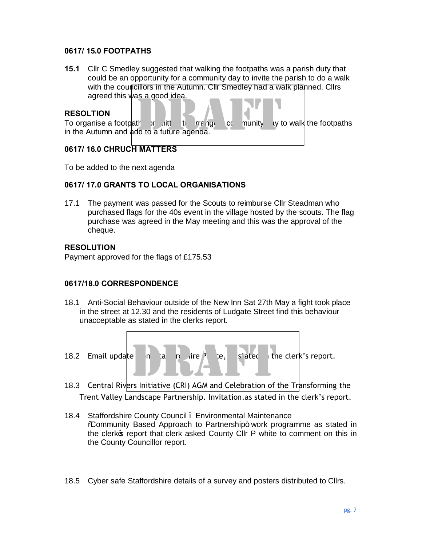#### **0617/ 15.0 FOOTPATHS**

**15.1** Cllr C Smedley suggested that walking the footpaths was a parish duty that could be an opportunity for a community day to invite the parish to do a walk with the councillors in the Autumn. Cllr Smedley had a walk planned. Cllrs agreed this was a good idea.

### **RESOLTION**

| duiceu uns was a guuu luca.               |                |               |    |        |                          |
|-------------------------------------------|----------------|---------------|----|--------|--------------------------|
| <b>RESOLTION</b>                          |                |               |    |        |                          |
| To organise a footpath or                 | - <i>n</i> itt | <b>rrange</b> | C( | munity | ly to walk the footpaths |
| in the Autumn and add to a future agenda. |                |               |    |        |                          |

## **0617/ 16.0 CHRUCH MATTERS**

To be added to the next agenda

### **0617/ 17.0 GRANTS TO LOCAL ORGANISATIONS**

17.1 The payment was passed for the Scouts to reimburse Cllr Steadman who purchased flags for the 40s event in the village hosted by the scouts. The flag purchase was agreed in the May meeting and this was the approval of the cheque.

### **RESOLUTION**

Payment approved for the flags of £175.53

#### **0617/18.0 CORRESPONDENCE**

- 18.1 Anti-Social Behaviour outside of the New Inn Sat 27th May a fight took place in the street at 12.30 and the residents of Ludgate Street find this behaviour unacceptable as stated in the clerks report.
- 18.2 Email update in State from State in the clerk's report. 18.2 Email update m a r dire e, s'atec the clerk's report.<br>18.3 Central Rivers Initiative (CRI) AGM and Celebration of the Transforming the
- Trent Valley Landscape Partnership. Invitation.as stated in the clerk's report.
- 18.4 Staffordshire County Council Environmental Maintenance %Community Based Approach to Partnership+ work programme as stated in the clerkos report that clerk asked County Cllr P white to comment on this in the County Councillor report.
- 18.5 Cyber safe Staffordshire details of a survey and posters distributed to Cllrs.